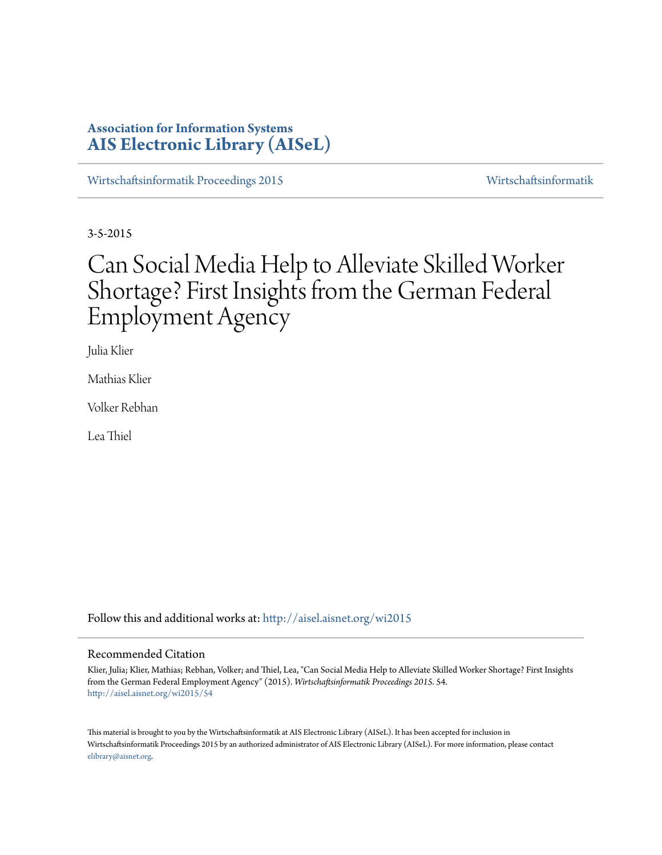# **Association for Information Systems [AIS Electronic Library \(AISeL\)](http://aisel.aisnet.org?utm_source=aisel.aisnet.org%2Fwi2015%2F54&utm_medium=PDF&utm_campaign=PDFCoverPages)**

[Wirtschaftsinformatik Proceedings 2015](http://aisel.aisnet.org/wi2015?utm_source=aisel.aisnet.org%2Fwi2015%2F54&utm_medium=PDF&utm_campaign=PDFCoverPages) [Wirtschaftsinformatik](http://aisel.aisnet.org/wi?utm_source=aisel.aisnet.org%2Fwi2015%2F54&utm_medium=PDF&utm_campaign=PDFCoverPages)

3-5-2015

# Can Social Media Help to Alleviate Skilled Worker Shortage? First Insights from the German Federal Employment Agency

Julia Klier

Mathias Klier

Volker Rebhan

Lea Thiel

Follow this and additional works at: [http://aisel.aisnet.org/wi2015](http://aisel.aisnet.org/wi2015?utm_source=aisel.aisnet.org%2Fwi2015%2F54&utm_medium=PDF&utm_campaign=PDFCoverPages)

#### Recommended Citation

Klier, Julia; Klier, Mathias; Rebhan, Volker; and Thiel, Lea, "Can Social Media Help to Alleviate Skilled Worker Shortage? First Insights from the German Federal Employment Agency" (2015). *Wirtschaftsinformatik Proceedings 2015*. 54. [http://aisel.aisnet.org/wi2015/54](http://aisel.aisnet.org/wi2015/54?utm_source=aisel.aisnet.org%2Fwi2015%2F54&utm_medium=PDF&utm_campaign=PDFCoverPages)

This material is brought to you by the Wirtschaftsinformatik at AIS Electronic Library (AISeL). It has been accepted for inclusion in Wirtschaftsinformatik Proceedings 2015 by an authorized administrator of AIS Electronic Library (AISeL). For more information, please contact [elibrary@aisnet.org.](mailto:elibrary@aisnet.org%3E)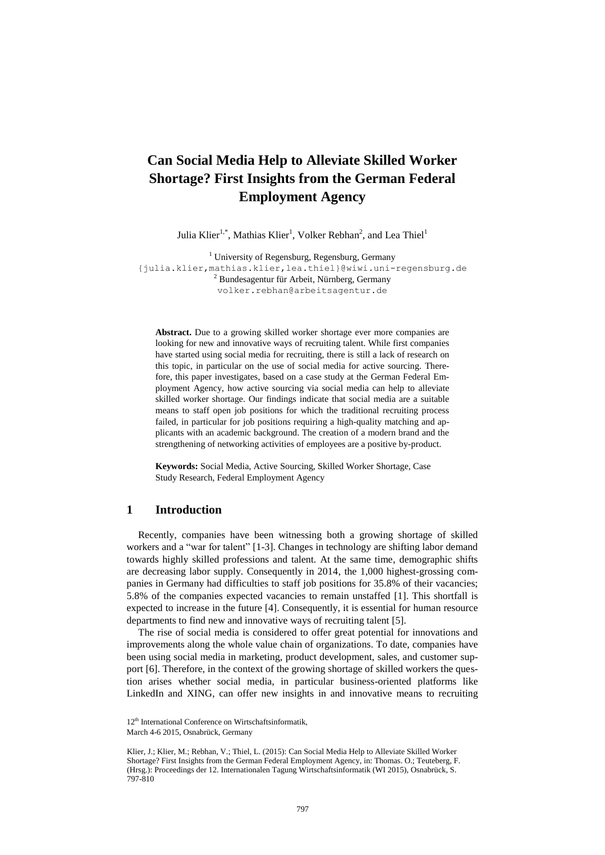# **Can Social Media Help to Alleviate Skilled Worker Shortage? First Insights from the German Federal Employment Agency**

Julia Klier<sup>1,\*</sup>, Mathias Klier<sup>1</sup>, Volker Rebhan<sup>2</sup>, and Lea Thiel<sup>1</sup>

 $1$  University of Regensburg, Regensburg, Germany {julia.klier,mathias.klier,lea.thiel}@wiwi.uni-regensburg.de <sup>2</sup> Bundesagentur für Arbeit, Nürnberg, Germany volker.rebhan@arbeitsagentur.de

**Abstract.** Due to a growing skilled worker shortage ever more companies are looking for new and innovative ways of recruiting talent. While first companies have started using social media for recruiting, there is still a lack of research on this topic, in particular on the use of social media for active sourcing. Therefore, this paper investigates, based on a case study at the German Federal Employment Agency, how active sourcing via social media can help to alleviate skilled worker shortage. Our findings indicate that social media are a suitable means to staff open job positions for which the traditional recruiting process failed, in particular for job positions requiring a high-quality matching and applicants with an academic background. The creation of a modern brand and the strengthening of networking activities of employees are a positive by-product.

**Keywords:** Social Media, Active Sourcing, Skilled Worker Shortage, Case Study Research, Federal Employment Agency

# **1 Introduction**

Recently, companies have been witnessing both a growing shortage of skilled workers and a "war for talent" [1-3]. Changes in technology are shifting labor demand towards highly skilled professions and talent. At the same time, demographic shifts are decreasing labor supply. Consequently in 2014, the 1,000 highest-grossing companies in Germany had difficulties to staff job positions for 35.8% of their vacancies; 5.8% of the companies expected vacancies to remain unstaffed [1]. This shortfall is expected to increase in the future [4]. Consequently, it is essential for human resource departments to find new and innovative ways of recruiting talent [5].

The rise of social media is considered to offer great potential for innovations and improvements along the whole value chain of organizations. To date, companies have been using social media in marketing, product development, sales, and customer support [6]. Therefore, in the context of the growing shortage of skilled workers the question arises whether social media, in particular business-oriented platforms like LinkedIn and XING, can offer new insights in and innovative means to recruiting

<sup>12&</sup>lt;sup>th</sup> International Conference on Wirtschaftsinformatik,

March 4-6 2015, Osnabrück, Germany

Klier, J.; Klier, M.; Rebhan, V.; Thiel, L. (2015): Can Social Media Help to Alleviate Skilled Worker Shortage? First Insights from the German Federal Employment Agency, in: Thomas. O.; Teuteberg, F. (Hrsg.): Proceedings der 12. Internationalen Tagung Wirtschaftsinformatik (WI 2015), Osnabrück, S. 797-810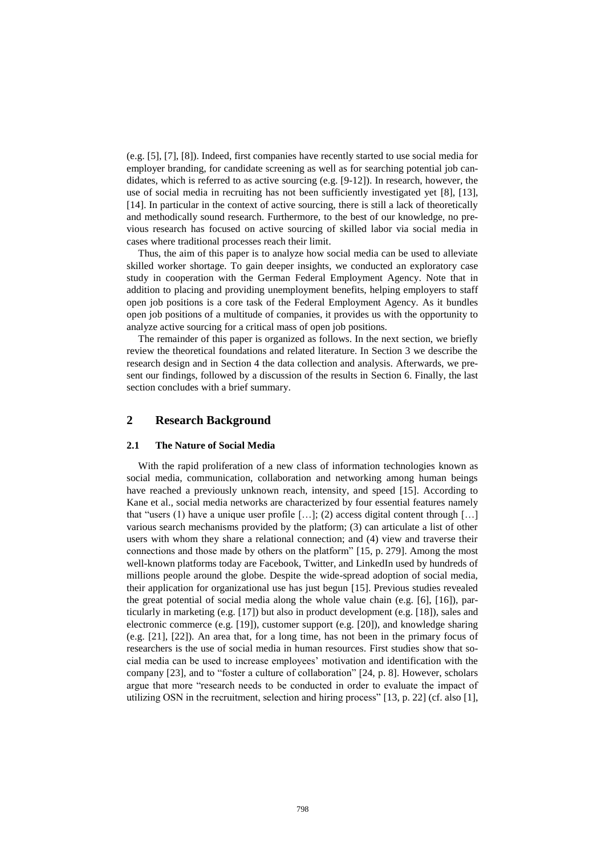(e.g. [5], [7], [8]). Indeed, first companies have recently started to use social media for employer branding, for candidate screening as well as for searching potential job candidates, which is referred to as active sourcing (e.g. [9-12]). In research, however, the use of social media in recruiting has not been sufficiently investigated yet [8], [13], [14]. In particular in the context of active sourcing, there is still a lack of theoretically and methodically sound research. Furthermore, to the best of our knowledge, no previous research has focused on active sourcing of skilled labor via social media in cases where traditional processes reach their limit.

Thus, the aim of this paper is to analyze how social media can be used to alleviate skilled worker shortage. To gain deeper insights, we conducted an exploratory case study in cooperation with the German Federal Employment Agency. Note that in addition to placing and providing unemployment benefits, helping employers to staff open job positions is a core task of the Federal Employment Agency. As it bundles open job positions of a multitude of companies, it provides us with the opportunity to analyze active sourcing for a critical mass of open job positions.

The remainder of this paper is organized as follows. In the next section, we briefly review the theoretical foundations and related literature. In Section 3 we describe the research design and in Section 4 the data collection and analysis. Afterwards, we present our findings, followed by a discussion of the results in Section 6. Finally, the last section concludes with a brief summary.

# **2 Research Background**

#### **2.1 The Nature of Social Media**

With the rapid proliferation of a new class of information technologies known as social media, communication, collaboration and networking among human beings have reached a previously unknown reach, intensity, and speed [15]. According to Kane et al., social media networks are characterized by four essential features namely that "users (1) have a unique user profile  $[\dots]$ ; (2) access digital content through  $[\dots]$ various search mechanisms provided by the platform; (3) can articulate a list of other users with whom they share a relational connection; and (4) view and traverse their connections and those made by others on the platform" [15, p. 279]. Among the most well-known platforms today are Facebook, Twitter, and LinkedIn used by hundreds of millions people around the globe. Despite the wide-spread adoption of social media, their application for organizational use has just begun [15]. Previous studies revealed the great potential of social media along the whole value chain (e.g. [6], [16]), particularly in marketing (e.g. [17]) but also in product development (e.g. [18]), sales and electronic commerce (e.g. [19]), customer support (e.g. [20]), and knowledge sharing (e.g. [21], [22]). An area that, for a long time, has not been in the primary focus of researchers is the use of social media in human resources. First studies show that social media can be used to increase employees' motivation and identification with the company [23], and to "foster a culture of collaboration" [24, p. 8]. However, scholars argue that more "research needs to be conducted in order to evaluate the impact of utilizing OSN in the recruitment, selection and hiring process" [13, p. 22] (cf. also [1],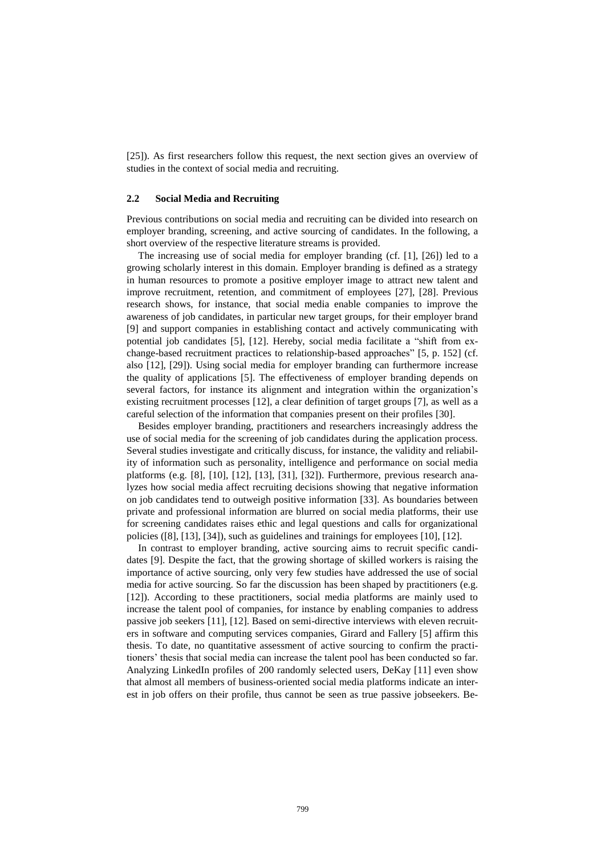[25]). As first researchers follow this request, the next section gives an overview of studies in the context of social media and recruiting.

#### **2.2 Social Media and Recruiting**

Previous contributions on social media and recruiting can be divided into research on employer branding, screening, and active sourcing of candidates. In the following, a short overview of the respective literature streams is provided.

The increasing use of social media for employer branding (cf. [1], [26]) led to a growing scholarly interest in this domain. Employer branding is defined as a strategy in human resources to promote a positive employer image to attract new talent and improve recruitment, retention, and commitment of employees [27], [28]. Previous research shows, for instance, that social media enable companies to improve the awareness of job candidates, in particular new target groups, for their employer brand [9] and support companies in establishing contact and actively communicating with potential job candidates [5], [12]. Hereby, social media facilitate a "shift from exchange-based recruitment practices to relationship-based approaches" [5, p. 152] (cf. also [12], [29]). Using social media for employer branding can furthermore increase the quality of applications [5]. The effectiveness of employer branding depends on several factors, for instance its alignment and integration within the organization's existing recruitment processes [12], a clear definition of target groups [7], as well as a careful selection of the information that companies present on their profiles [30].

Besides employer branding, practitioners and researchers increasingly address the use of social media for the screening of job candidates during the application process. Several studies investigate and critically discuss, for instance, the validity and reliability of information such as personality, intelligence and performance on social media platforms (e.g. [8], [10], [12], [13], [31], [32]). Furthermore, previous research analyzes how social media affect recruiting decisions showing that negative information on job candidates tend to outweigh positive information [33]. As boundaries between private and professional information are blurred on social media platforms, their use for screening candidates raises ethic and legal questions and calls for organizational policies ([8], [13], [34]), such as guidelines and trainings for employees [10], [12].

In contrast to employer branding, active sourcing aims to recruit specific candidates [9]. Despite the fact, that the growing shortage of skilled workers is raising the importance of active sourcing, only very few studies have addressed the use of social media for active sourcing. So far the discussion has been shaped by practitioners (e.g. [12]). According to these practitioners, social media platforms are mainly used to increase the talent pool of companies, for instance by enabling companies to address passive job seekers [11], [12]. Based on semi-directive interviews with eleven recruiters in software and computing services companies, Girard and Fallery [5] affirm this thesis. To date, no quantitative assessment of active sourcing to confirm the practitioners' thesis that social media can increase the talent pool has been conducted so far. Analyzing LinkedIn profiles of 200 randomly selected users, DeKay [11] even show that almost all members of business-oriented social media platforms indicate an interest in job offers on their profile, thus cannot be seen as true passive jobseekers. Be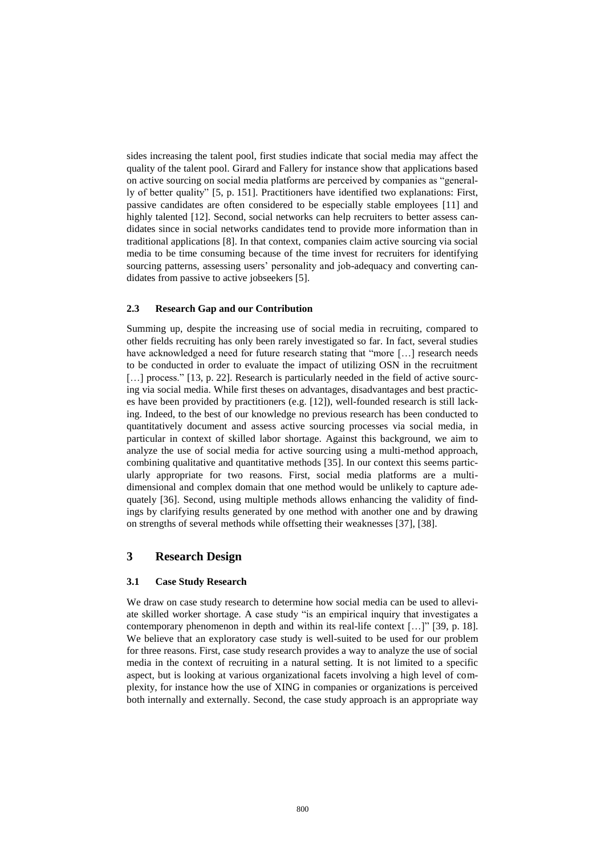sides increasing the talent pool, first studies indicate that social media may affect the quality of the talent pool. Girard and Fallery for instance show that applications based on active sourcing on social media platforms are perceived by companies as "generally of better quality" [5, p. 151]. Practitioners have identified two explanations: First, passive candidates are often considered to be especially stable employees [11] and highly talented [12]. Second, social networks can help recruiters to better assess candidates since in social networks candidates tend to provide more information than in traditional applications [8]. In that context, companies claim active sourcing via social media to be time consuming because of the time invest for recruiters for identifying sourcing patterns, assessing users' personality and job-adequacy and converting candidates from passive to active jobseekers [5].

#### **2.3 Research Gap and our Contribution**

Summing up, despite the increasing use of social media in recruiting, compared to other fields recruiting has only been rarely investigated so far. In fact, several studies have acknowledged a need for future research stating that "more [...] research needs to be conducted in order to evaluate the impact of utilizing OSN in the recruitment [...] process." [13, p. 22]. Research is particularly needed in the field of active sourcing via social media. While first theses on advantages, disadvantages and best practices have been provided by practitioners (e.g. [12]), well-founded research is still lacking. Indeed, to the best of our knowledge no previous research has been conducted to quantitatively document and assess active sourcing processes via social media, in particular in context of skilled labor shortage. Against this background, we aim to analyze the use of social media for active sourcing using a multi-method approach, combining qualitative and quantitative methods [35]. In our context this seems particularly appropriate for two reasons. First, social media platforms are a multidimensional and complex domain that one method would be unlikely to capture adequately [36]. Second, using multiple methods allows enhancing the validity of findings by clarifying results generated by one method with another one and by drawing on strengths of several methods while offsetting their weaknesses [37], [38].

## **3 Research Design**

#### **3.1 Case Study Research**

We draw on case study research to determine how social media can be used to alleviate skilled worker shortage. A case study "is an empirical inquiry that investigates a contemporary phenomenon in depth and within its real-life context […]" [39, p. 18]. We believe that an exploratory case study is well-suited to be used for our problem for three reasons. First, case study research provides a way to analyze the use of social media in the context of recruiting in a natural setting. It is not limited to a specific aspect, but is looking at various organizational facets involving a high level of complexity, for instance how the use of XING in companies or organizations is perceived both internally and externally. Second, the case study approach is an appropriate way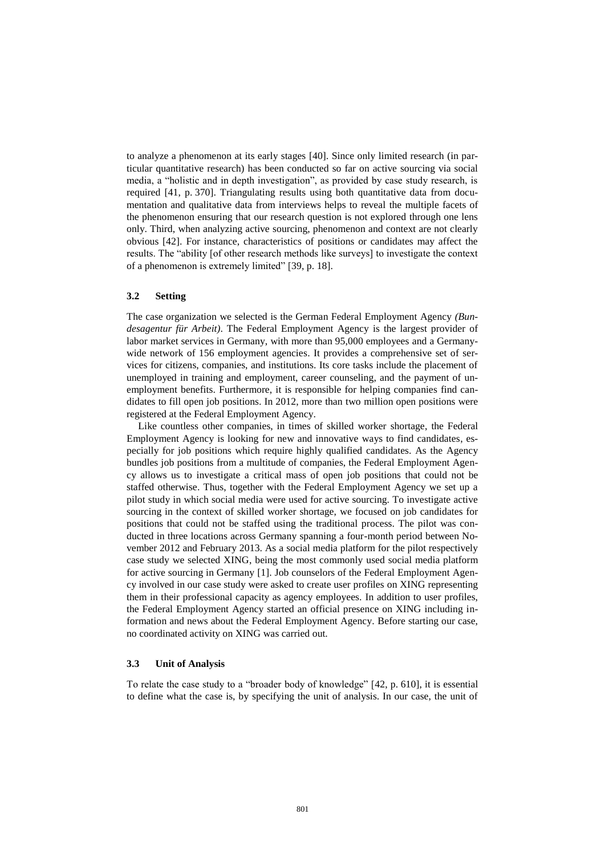to analyze a phenomenon at its early stages [40]. Since only limited research (in particular quantitative research) has been conducted so far on active sourcing via social media, a "holistic and in depth investigation", as provided by case study research, is required [41, p. 370]. Triangulating results using both quantitative data from documentation and qualitative data from interviews helps to reveal the multiple facets of the phenomenon ensuring that our research question is not explored through one lens only. Third, when analyzing active sourcing, phenomenon and context are not clearly obvious [42]. For instance, characteristics of positions or candidates may affect the results. The "ability [of other research methods like surveys] to investigate the context of a phenomenon is extremely limited" [39, p. 18].

#### **3.2 Setting**

The case organization we selected is the German Federal Employment Agency *(Bundesagentur für Arbeit)*. The Federal Employment Agency is the largest provider of labor market services in Germany, with more than 95,000 employees and a Germanywide network of 156 employment agencies. It provides a comprehensive set of services for citizens, companies, and institutions. Its core tasks include the placement of unemployed in training and employment, career counseling, and the payment of unemployment benefits. Furthermore, it is responsible for helping companies find candidates to fill open job positions. In 2012, more than two million open positions were registered at the Federal Employment Agency.

Like countless other companies, in times of skilled worker shortage, the Federal Employment Agency is looking for new and innovative ways to find candidates, especially for job positions which require highly qualified candidates. As the Agency bundles job positions from a multitude of companies, the Federal Employment Agency allows us to investigate a critical mass of open job positions that could not be staffed otherwise. Thus, together with the Federal Employment Agency we set up a pilot study in which social media were used for active sourcing. To investigate active sourcing in the context of skilled worker shortage, we focused on job candidates for positions that could not be staffed using the traditional process. The pilot was conducted in three locations across Germany spanning a four-month period between November 2012 and February 2013. As a social media platform for the pilot respectively case study we selected XING, being the most commonly used social media platform for active sourcing in Germany [1]. Job counselors of the Federal Employment Agency involved in our case study were asked to create user profiles on XING representing them in their professional capacity as agency employees. In addition to user profiles, the Federal Employment Agency started an official presence on XING including information and news about the Federal Employment Agency. Before starting our case, no coordinated activity on XING was carried out.

#### **3.3 Unit of Analysis**

To relate the case study to a "broader body of knowledge" [42, p. 610], it is essential to define what the case is, by specifying the unit of analysis. In our case, the unit of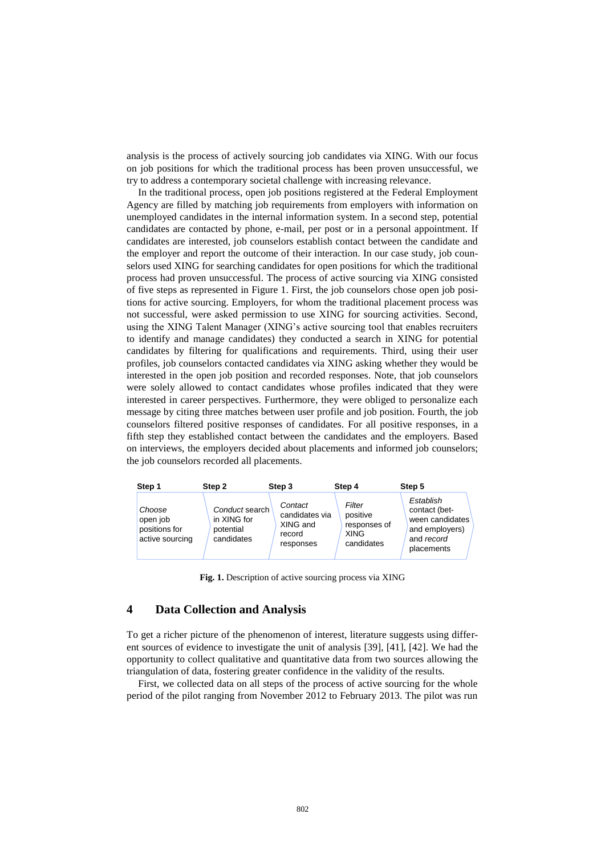analysis is the process of actively sourcing job candidates via XING. With our focus on job positions for which the traditional process has been proven unsuccessful, we try to address a contemporary societal challenge with increasing relevance.

In the traditional process, open job positions registered at the Federal Employment Agency are filled by matching job requirements from employers with information on unemployed candidates in the internal information system. In a second step, potential candidates are contacted by phone, e-mail, per post or in a personal appointment. If candidates are interested, job counselors establish contact between the candidate and the employer and report the outcome of their interaction. In our case study, job counselors used XING for searching candidates for open positions for which the traditional process had proven unsuccessful. The process of active sourcing via XING consisted of five steps as represented in Figure 1. First, the job counselors chose open job positions for active sourcing. Employers, for whom the traditional placement process was not successful, were asked permission to use XING for sourcing activities. Second, using the XING Talent Manager (XING's active sourcing tool that enables recruiters to identify and manage candidates) they conducted a search in XING for potential candidates by filtering for qualifications and requirements. Third, using their user profiles, job counselors contacted candidates via XING asking whether they would be interested in the open job position and recorded responses. Note, that job counselors were solely allowed to contact candidates whose profiles indicated that they were interested in career perspectives. Furthermore, they were obliged to personalize each message by citing three matches between user profile and job position. Fourth, the job counselors filtered positive responses of candidates. For all positive responses, in a fifth step they established contact between the candidates and the employers. Based on interviews, the employers decided about placements and informed job counselors; the job counselors recorded all placements.

| Step 1                                                 | Step 2                                                   | Step 3                                                       | Step 4                                                          | Step 5                                                                                      |
|--------------------------------------------------------|----------------------------------------------------------|--------------------------------------------------------------|-----------------------------------------------------------------|---------------------------------------------------------------------------------------------|
| Choose<br>open job<br>positions for<br>active sourcing | Conduct search<br>in XING for<br>potential<br>candidates | Contact<br>candidates via<br>XING and<br>record<br>responses | Filter<br>positive<br>responses of<br><b>XING</b><br>candidates | Establish<br>contact (bet-<br>ween candidates<br>and employers)<br>and record<br>placements |

**Fig. 1.** Description of active sourcing process via XING

# **4 Data Collection and Analysis**

To get a richer picture of the phenomenon of interest, literature suggests using different sources of evidence to investigate the unit of analysis [39], [41], [42]. We had the opportunity to collect qualitative and quantitative data from two sources allowing the 1 triangulation of data, fostering greater confidence in the validity of the results.

First, we collected data on all steps of the process of active sourcing for the whole period of the pilot ranging from November 2012 to February 2013. The pilot was run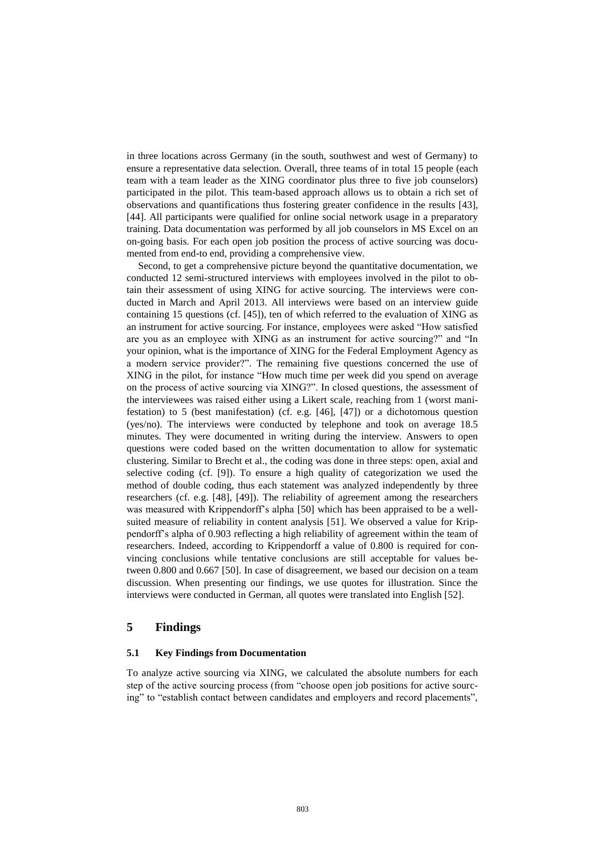in three locations across Germany (in the south, southwest and west of Germany) to ensure a representative data selection. Overall, three teams of in total 15 people (each team with a team leader as the XING coordinator plus three to five job counselors) participated in the pilot. This team-based approach allows us to obtain a rich set of observations and quantifications thus fostering greater confidence in the results [43], [44]. All participants were qualified for online social network usage in a preparatory training. Data documentation was performed by all job counselors in MS Excel on an on-going basis. For each open job position the process of active sourcing was documented from end-to end, providing a comprehensive view.

Second, to get a comprehensive picture beyond the quantitative documentation, we conducted 12 semi-structured interviews with employees involved in the pilot to obtain their assessment of using XING for active sourcing. The interviews were conducted in March and April 2013. All interviews were based on an interview guide containing 15 questions (cf. [45]), ten of which referred to the evaluation of XING as an instrument for active sourcing. For instance, employees were asked "How satisfied are you as an employee with XING as an instrument for active sourcing?" and "In your opinion, what is the importance of XING for the Federal Employment Agency as a modern service provider?". The remaining five questions concerned the use of XING in the pilot, for instance "How much time per week did you spend on average on the process of active sourcing via XING?". In closed questions, the assessment of the interviewees was raised either using a Likert scale, reaching from 1 (worst manifestation) to 5 (best manifestation) (cf. e.g. [46], [47]) or a dichotomous question (yes/no). The interviews were conducted by telephone and took on average 18.5 minutes. They were documented in writing during the interview. Answers to open questions were coded based on the written documentation to allow for systematic clustering. Similar to Brecht et al., the coding was done in three steps: open, axial and selective coding (cf. [9]). To ensure a high quality of categorization we used the method of double coding, thus each statement was analyzed independently by three researchers (cf. e.g. [48], [49]). The reliability of agreement among the researchers was measured with Krippendorff's alpha [50] which has been appraised to be a wellsuited measure of reliability in content analysis [51]. We observed a value for Krippendorff's alpha of 0.903 reflecting a high reliability of agreement within the team of researchers. Indeed, according to Krippendorff a value of 0.800 is required for convincing conclusions while tentative conclusions are still acceptable for values between 0.800 and 0.667 [50]. In case of disagreement, we based our decision on a team discussion. When presenting our findings, we use quotes for illustration. Since the interviews were conducted in German, all quotes were translated into English [52].

# **5 Findings**

#### **5.1 Key Findings from Documentation**

To analyze active sourcing via XING, we calculated the absolute numbers for each step of the active sourcing process (from "choose open job positions for active sourcing" to "establish contact between candidates and employers and record placements",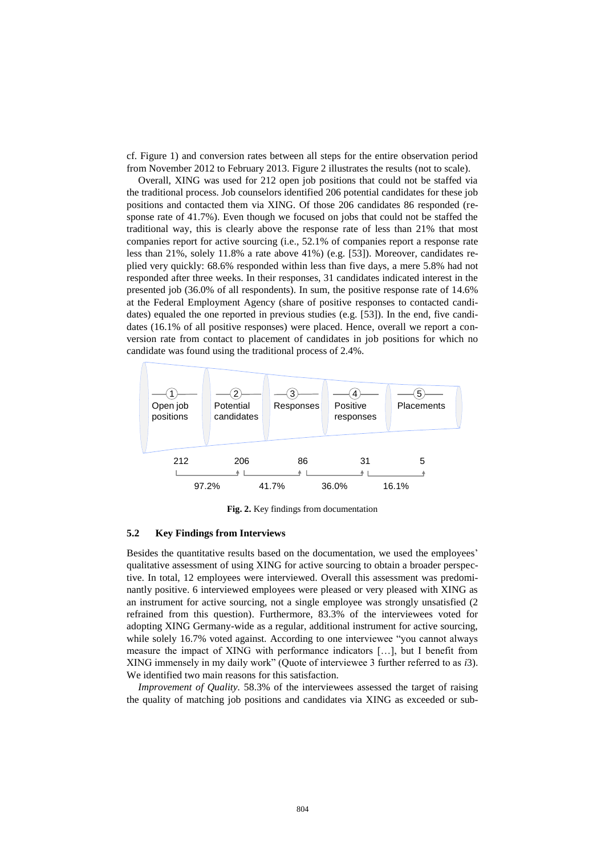cf. Figure 1) and conversion rates between all steps for the entire observation period from November 2012 to February 2013. Figure 2 illustrates the results (not to scale).

Overall, XING was used for 212 open job positions that could not be staffed via the traditional process. Job counselors identified 206 potential candidates for these job positions and contacted them via XING. Of those 206 candidates 86 responded (response rate of 41.7%). Even though we focused on jobs that could not be staffed the traditional way, this is clearly above the response rate of less than 21% that most companies report for active sourcing (i.e., 52.1% of companies report a response rate less than 21%, solely 11.8% a rate above 41%) (e.g. [53]). Moreover, candidates replied very quickly: 68.6% responded within less than five days, a mere 5.8% had not responded after three weeks. In their responses, 31 candidates indicated interest in the presented job (36.0% of all respondents). In sum, the positive response rate of 14.6% at the Federal Employment Agency (share of positive responses to contacted candidates) equaled the one reported in previous studies (e.g. [53]). In the end, five candidates (16.1% of all positive responses) were placed. Hence, overall we report a conversion rate from contact to placement of candidates in job positions for which no candidate was found using the traditional process of 2.4%.



**Fig. 2.** Key findings from documentation

#### **5.2 Key Findings from Interviews**

Besides the quantitative results based on the documentation, we used the employees' qualitative assessment of using XING for active sourcing to obtain a broader perspective. In total, 12 employees were interviewed. Overall this assessment was predominantly positive. 6 interviewed employees were pleased or very pleased with XING as an instrument for active sourcing, not a single employee was strongly unsatisfied (2 refrained from this question). Furthermore, 83.3% of the interviewees voted for adopting XING Germany-wide as a regular, additional instrument for active sourcing, while solely 16.7% voted against. According to one interviewee "you cannot always measure the impact of XING with performance indicators […], but I benefit from XING immensely in my daily work" (Quote of interviewee 3 further referred to as *i*3). We identified two main reasons for this satisfaction.

*Improvement of Quality.* 58.3% of the interviewees assessed the target of raising the quality of matching job positions and candidates via XING as exceeded or sub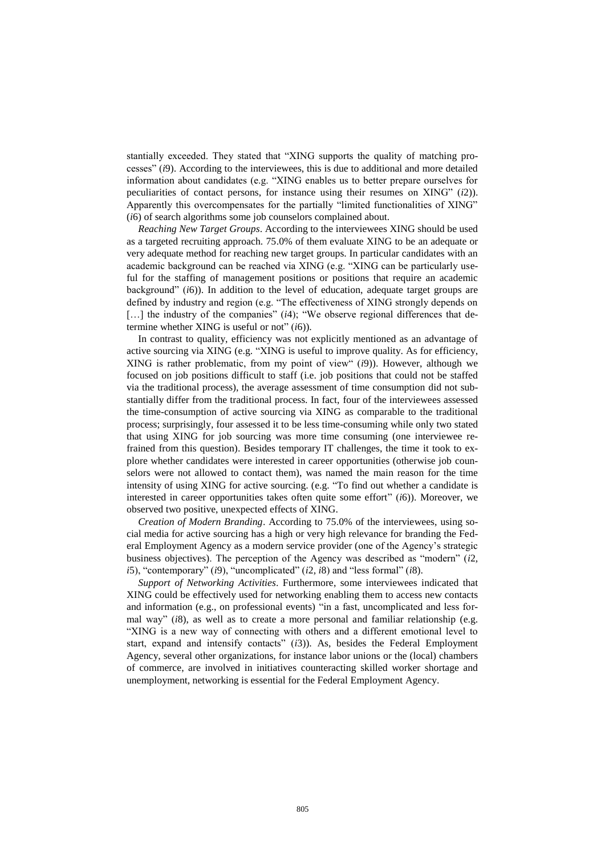stantially exceeded. They stated that "XING supports the quality of matching processes" (*i*9). According to the interviewees, this is due to additional and more detailed information about candidates (e.g. "XING enables us to better prepare ourselves for peculiarities of contact persons, for instance using their resumes on XING" (*i*2)). Apparently this overcompensates for the partially "limited functionalities of XING" (*i*6) of search algorithms some job counselors complained about.

*Reaching New Target Groups*. According to the interviewees XING should be used as a targeted recruiting approach. 75.0% of them evaluate XING to be an adequate or very adequate method for reaching new target groups. In particular candidates with an academic background can be reached via XING (e.g. "XING can be particularly useful for the staffing of management positions or positions that require an academic background" (*i*6)). In addition to the level of education, adequate target groups are defined by industry and region (e.g. "The effectiveness of XING strongly depends on [...] the industry of the companies" (*i*4); "We observe regional differences that determine whether XING is useful or not" (*i*6)).

In contrast to quality, efficiency was not explicitly mentioned as an advantage of active sourcing via XING (e.g. "XING is useful to improve quality. As for efficiency, XING is rather problematic, from my point of view" (*i*9)). However, although we focused on job positions difficult to staff (i.e. job positions that could not be staffed via the traditional process), the average assessment of time consumption did not substantially differ from the traditional process. In fact, four of the interviewees assessed the time-consumption of active sourcing via XING as comparable to the traditional process; surprisingly, four assessed it to be less time-consuming while only two stated that using XING for job sourcing was more time consuming (one interviewee refrained from this question). Besides temporary IT challenges, the time it took to explore whether candidates were interested in career opportunities (otherwise job counselors were not allowed to contact them), was named the main reason for the time intensity of using XING for active sourcing. (e.g. "To find out whether a candidate is interested in career opportunities takes often quite some effort" (*i*6)). Moreover, we observed two positive, unexpected effects of XING.

*Creation of Modern Branding*. According to 75.0% of the interviewees, using social media for active sourcing has a high or very high relevance for branding the Federal Employment Agency as a modern service provider (one of the Agency's strategic business objectives). The perception of the Agency was described as "modern" (*i*2*, i*5), "contemporary" (*i*9), "uncomplicated" (*i*2*, i*8) and "less formal" (*i*8).

*Support of Networking Activities*. Furthermore, some interviewees indicated that XING could be effectively used for networking enabling them to access new contacts and information (e.g., on professional events) "in a fast, uncomplicated and less formal way" (*i*8), as well as to create a more personal and familiar relationship (e.g. "XING is a new way of connecting with others and a different emotional level to start, expand and intensify contacts" (*i*3)). As, besides the Federal Employment Agency, several other organizations, for instance labor unions or the (local) chambers of commerce, are involved in initiatives counteracting skilled worker shortage and unemployment, networking is essential for the Federal Employment Agency.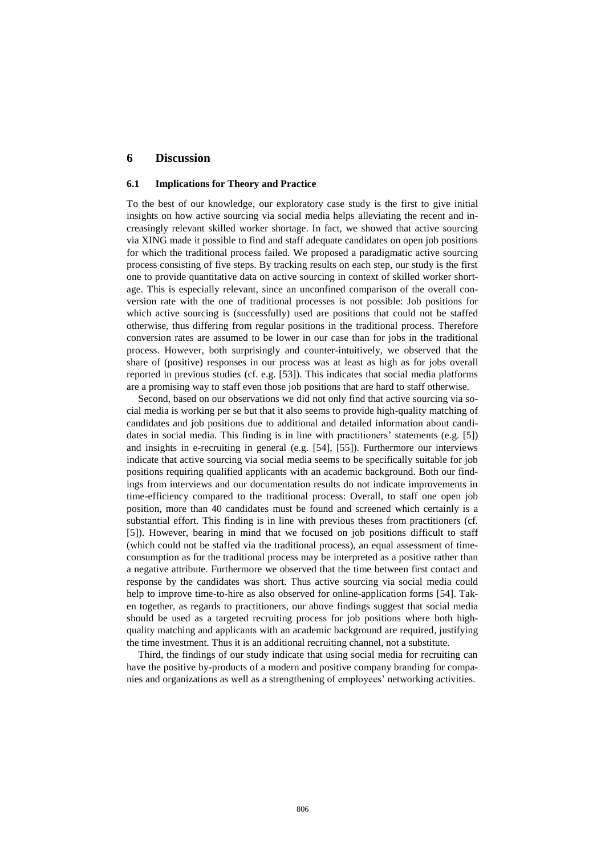# **6 Discussion**

#### **6.1 Implications for Theory and Practice**

To the best of our knowledge, our exploratory case study is the first to give initial insights on how active sourcing via social media helps alleviating the recent and increasingly relevant skilled worker shortage. In fact, we showed that active sourcing via XING made it possible to find and staff adequate candidates on open job positions for which the traditional process failed. We proposed a paradigmatic active sourcing process consisting of five steps. By tracking results on each step, our study is the first one to provide quantitative data on active sourcing in context of skilled worker shortage. This is especially relevant, since an unconfined comparison of the overall conversion rate with the one of traditional processes is not possible: Job positions for which active sourcing is (successfully) used are positions that could not be staffed otherwise, thus differing from regular positions in the traditional process. Therefore conversion rates are assumed to be lower in our case than for jobs in the traditional process. However, both surprisingly and counter-intuitively, we observed that the share of (positive) responses in our process was at least as high as for jobs overall reported in previous studies (cf. e.g. [53]). This indicates that social media platforms are a promising way to staff even those job positions that are hard to staff otherwise.

Second, based on our observations we did not only find that active sourcing via social media is working per se but that it also seems to provide high-quality matching of candidates and job positions due to additional and detailed information about candidates in social media. This finding is in line with practitioners' statements (e.g. [5]) and insights in e-recruiting in general (e.g. [54], [55]). Furthermore our interviews indicate that active sourcing via social media seems to be specifically suitable for job positions requiring qualified applicants with an academic background. Both our findings from interviews and our documentation results do not indicate improvements in time-efficiency compared to the traditional process: Overall, to staff one open job position, more than 40 candidates must be found and screened which certainly is a substantial effort. This finding is in line with previous theses from practitioners (cf. [5]). However, bearing in mind that we focused on job positions difficult to staff (which could not be staffed via the traditional process), an equal assessment of timeconsumption as for the traditional process may be interpreted as a positive rather than a negative attribute. Furthermore we observed that the time between first contact and response by the candidates was short. Thus active sourcing via social media could help to improve time-to-hire as also observed for online-application forms [54]. Taken together, as regards to practitioners, our above findings suggest that social media should be used as a targeted recruiting process for job positions where both highquality matching and applicants with an academic background are required, justifying the time investment. Thus it is an additional recruiting channel, not a substitute.

Third, the findings of our study indicate that using social media for recruiting can have the positive by-products of a modern and positive company branding for companies and organizations as well as a strengthening of employees' networking activities.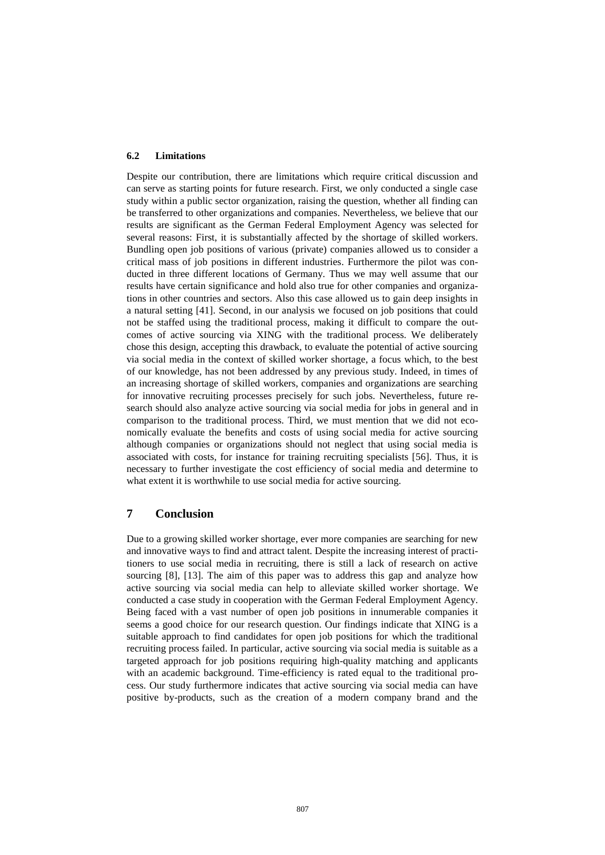#### **6.2 Limitations**

Despite our contribution, there are limitations which require critical discussion and can serve as starting points for future research. First, we only conducted a single case study within a public sector organization, raising the question, whether all finding can be transferred to other organizations and companies. Nevertheless, we believe that our results are significant as the German Federal Employment Agency was selected for several reasons: First, it is substantially affected by the shortage of skilled workers. Bundling open job positions of various (private) companies allowed us to consider a critical mass of job positions in different industries. Furthermore the pilot was conducted in three different locations of Germany. Thus we may well assume that our results have certain significance and hold also true for other companies and organizations in other countries and sectors. Also this case allowed us to gain deep insights in a natural setting [41]. Second, in our analysis we focused on job positions that could not be staffed using the traditional process, making it difficult to compare the outcomes of active sourcing via XING with the traditional process. We deliberately chose this design, accepting this drawback, to evaluate the potential of active sourcing via social media in the context of skilled worker shortage, a focus which, to the best of our knowledge, has not been addressed by any previous study. Indeed, in times of an increasing shortage of skilled workers, companies and organizations are searching for innovative recruiting processes precisely for such jobs. Nevertheless, future research should also analyze active sourcing via social media for jobs in general and in comparison to the traditional process. Third, we must mention that we did not economically evaluate the benefits and costs of using social media for active sourcing although companies or organizations should not neglect that using social media is associated with costs, for instance for training recruiting specialists [56]. Thus, it is necessary to further investigate the cost efficiency of social media and determine to what extent it is worthwhile to use social media for active sourcing.

## **7 Conclusion**

Due to a growing skilled worker shortage, ever more companies are searching for new and innovative ways to find and attract talent. Despite the increasing interest of practitioners to use social media in recruiting, there is still a lack of research on active sourcing [8], [13]. The aim of this paper was to address this gap and analyze how active sourcing via social media can help to alleviate skilled worker shortage. We conducted a case study in cooperation with the German Federal Employment Agency. Being faced with a vast number of open job positions in innumerable companies it seems a good choice for our research question. Our findings indicate that XING is a suitable approach to find candidates for open job positions for which the traditional recruiting process failed. In particular, active sourcing via social media is suitable as a targeted approach for job positions requiring high-quality matching and applicants with an academic background. Time-efficiency is rated equal to the traditional process. Our study furthermore indicates that active sourcing via social media can have positive by-products, such as the creation of a modern company brand and the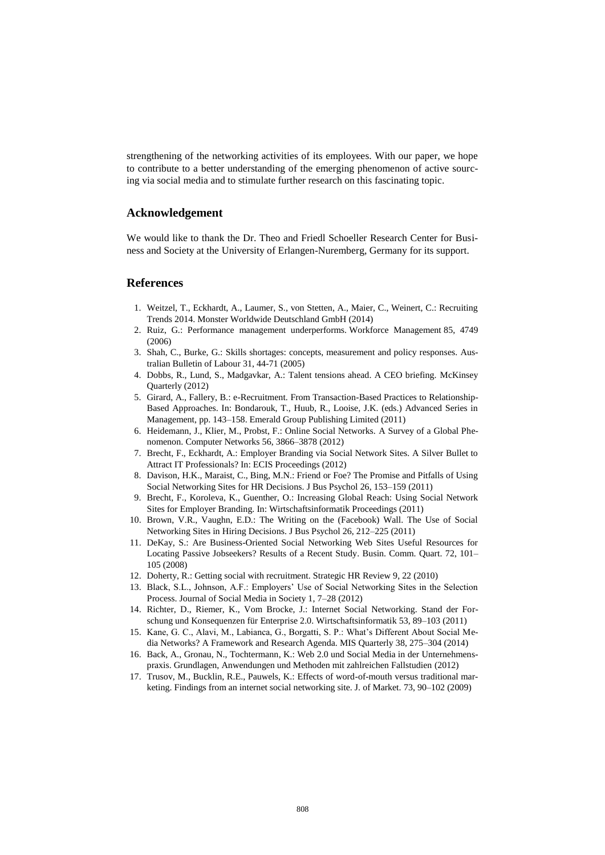strengthening of the networking activities of its employees. With our paper, we hope to contribute to a better understanding of the emerging phenomenon of active sourcing via social media and to stimulate further research on this fascinating topic.

# **Acknowledgement**

We would like to thank the Dr. Theo and Friedl Schoeller Research Center for Business and Society at the University of Erlangen-Nuremberg, Germany for its support.

# **References**

- 1. Weitzel, T., Eckhardt, A., Laumer, S., von Stetten, A., Maier, C., Weinert, C.: Recruiting Trends 2014. Monster Worldwide Deutschland GmbH (2014)
- 2. Ruiz, G.: Performance management underperforms. Workforce Management 85, 4749 (2006)
- 3. Shah, C., Burke, G.: Skills shortages: concepts, measurement and policy responses. Australian Bulletin of Labour 31, 44-71 (2005)
- 4. Dobbs, R., Lund, S., Madgavkar, A.: Talent tensions ahead. A CEO briefing. McKinsey Quarterly (2012)
- 5. Girard, A., Fallery, B.: e-Recruitment. From Transaction-Based Practices to Relationship-Based Approaches. In: Bondarouk, T., Huub, R., Looise, J.K. (eds.) Advanced Series in Management, pp. 143–158. Emerald Group Publishing Limited (2011)
- 6. Heidemann, J., Klier, M., Probst, F.: Online Social Networks. A Survey of a Global Phenomenon. Computer Networks 56, 3866–3878 (2012)
- 7. Brecht, F., Eckhardt, A.: Employer Branding via Social Network Sites. A Silver Bullet to Attract IT Professionals? In: ECIS Proceedings (2012)
- 8. Davison, H.K., Maraist, C., Bing, M.N.: Friend or Foe? The Promise and Pitfalls of Using Social Networking Sites for HR Decisions. J Bus Psychol 26, 153–159 (2011)
- 9. Brecht, F., Koroleva, K., Guenther, O.: Increasing Global Reach: Using Social Network Sites for Employer Branding. In: Wirtschaftsinformatik Proceedings (2011)
- 10. Brown, V.R., Vaughn, E.D.: The Writing on the (Facebook) Wall. The Use of Social Networking Sites in Hiring Decisions. J Bus Psychol 26, 212–225 (2011)
- 11. DeKay, S.: Are Business-Oriented Social Networking Web Sites Useful Resources for Locating Passive Jobseekers? Results of a Recent Study. Busin. Comm. Quart. 72, 101– 105 (2008)
- 12. Doherty, R.: Getting social with recruitment. Strategic HR Review 9, 22 (2010)
- 13. Black, S.L., Johnson, A.F.: Employers' Use of Social Networking Sites in the Selection Process. Journal of Social Media in Society 1, 7–28 (2012)
- 14. Richter, D., Riemer, K., Vom Brocke, J.: Internet Social Networking. Stand der Forschung und Konsequenzen für Enterprise 2.0. Wirtschaftsinformatik 53, 89–103 (2011)
- 15. Kane, G. C., Alavi, M., Labianca, G., Borgatti, S. P.: What's Different About Social Media Networks? A Framework and Research Agenda. MIS Quarterly 38, 275–304 (2014)
- 16. Back, A., Gronau, N., Tochtermann, K.: Web 2.0 und Social Media in der Unternehmenspraxis. Grundlagen, Anwendungen und Methoden mit zahlreichen Fallstudien (2012)
- 17. Trusov, M., Bucklin, R.E., Pauwels, K.: Effects of word-of-mouth versus traditional marketing. Findings from an internet social networking site. J. of Market. 73, 90–102 (2009)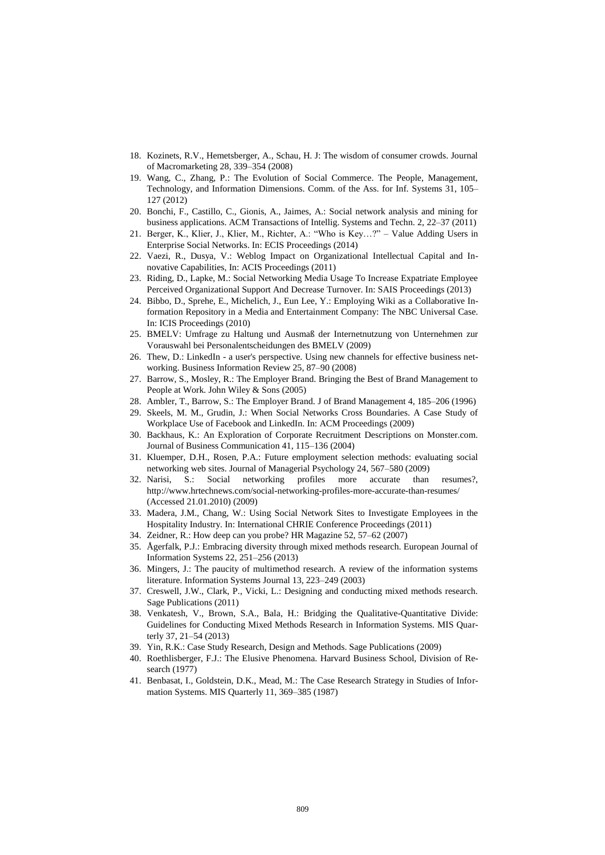- 18. Kozinets, R.V., Hemetsberger, A., Schau, H. J: The wisdom of consumer crowds. Journal of Macromarketing 28, 339–354 (2008)
- 19. Wang, C., Zhang, P.: The Evolution of Social Commerce. The People, Management, Technology, and Information Dimensions. Comm. of the Ass. for Inf. Systems 31, 105– 127 (2012)
- 20. Bonchi, F., Castillo, C., Gionis, A., Jaimes, A.: Social network analysis and mining for business applications. ACM Transactions of Intellig. Systems and Techn. 2, 22–37 (2011)
- 21. Berger, K., Klier, J., Klier, M., Richter, A.: "Who is Key…?" Value Adding Users in Enterprise Social Networks. In: ECIS Proceedings (2014)
- 22. Vaezi, R., Dusya, V.: Weblog Impact on Organizational Intellectual Capital and Innovative Capabilities, In: ACIS Proceedings (2011)
- 23. Riding, D., Lapke, M.: Social Networking Media Usage To Increase Expatriate Employee Perceived Organizational Support And Decrease Turnover. In: SAIS Proceedings (2013)
- 24. Bibbo, D., Sprehe, E., Michelich, J., Eun Lee, Y.: Employing Wiki as a Collaborative Information Repository in a Media and Entertainment Company: The NBC Universal Case. In: ICIS Proceedings (2010)
- 25. BMELV: Umfrage zu Haltung und Ausmaß der Internetnutzung von Unternehmen zur Vorauswahl bei Personalentscheidungen des BMELV (2009)
- 26. Thew, D.: LinkedIn a user's perspective. Using new channels for effective business networking. Business Information Review 25, 87–90 (2008)
- 27. Barrow, S., Mosley, R.: The Employer Brand. Bringing the Best of Brand Management to People at Work. John Wiley & Sons (2005)
- 28. Ambler, T., Barrow, S.: The Employer Brand. J of Brand Management 4, 185–206 (1996)
- 29. Skeels, M. M., Grudin, J.: When Social Networks Cross Boundaries. A Case Study of Workplace Use of Facebook and LinkedIn. In: ACM Proceedings (2009)
- 30. Backhaus, K.: An Exploration of Corporate Recruitment Descriptions on Monster.com. Journal of Business Communication 41, 115–136 (2004)
- 31. Kluemper, D.H., Rosen, P.A.: Future employment selection methods: evaluating social networking web sites. Journal of Managerial Psychology 24, 567–580 (2009)
- 32. Narisi, S.: Social networking profiles more accurate than resumes?, <http://www.hrtechnews.com/social-networking-profiles-more-accurate-than-resumes/> (Accessed 21.01.2010) (2009)
- 33. Madera, J.M., Chang, W.: Using Social Network Sites to Investigate Employees in the Hospitality Industry. In: International CHRIE Conference Proceedings (2011)
- 34. Zeidner, R.: How deep can you probe? HR Magazine 52, 57–62 (2007)
- 35. Ågerfalk, P.J.: Embracing diversity through mixed methods research. European Journal of Information Systems 22, 251–256 (2013)
- 36. Mingers, J.: The paucity of multimethod research. A review of the information systems literature. Information Systems Journal 13, 223–249 (2003)
- 37. Creswell, J.W., Clark, P., Vicki, L.: Designing and conducting mixed methods research. Sage Publications (2011)
- 38. Venkatesh, V., Brown, S.A., Bala, H.: Bridging the Qualitative-Quantitative Divide: Guidelines for Conducting Mixed Methods Research in Information Systems. MIS Quarterly 37, 21–54 (2013)
- 39. Yin, R.K.: Case Study Research, Design and Methods. Sage Publications (2009)
- 40. Roethlisberger, F.J.: The Elusive Phenomena. Harvard Business School, Division of Research (1977)
- 41. Benbasat, I., Goldstein, D.K., Mead, M.: The Case Research Strategy in Studies of Information Systems. MIS Quarterly 11, 369–385 (1987)